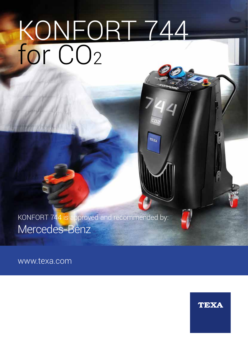# KONFORT 744 for CO<sub>2</sub>

TEXA

KONFORT 744 is approved and recommended by: Mercedes-Benz

www.texa.com

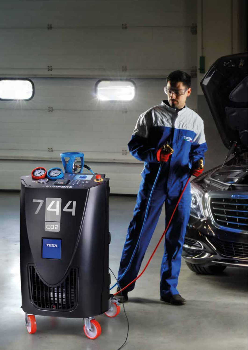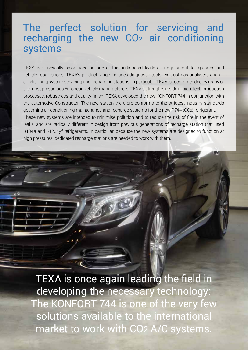### The perfect solution for servicing and recharging the new CO2 air conditioning systems

TEXA is universally recognised as one of the undisputed leaders in equipment for garages and vehicle repair shops. TEXA's product range includes diagnostic tools, exhaust gas analysers and air conditioning system servicing and recharging stations. In particular, TEXA is recommended by many of the most prestigious European vehicle manufacturers. TEXA's strengths reside in high-tech production processes, robustness and quality finish. TEXA developed the new KONFORT 744 in conjunction with the automotive Constructor. The new station therefore conforms to the strictest industry standards governing air conditioning maintenance and recharge systems for the new R744 (CO2) refrigerant. These new systems are intended to minimise pollution and to reduce the risk of fire in the event of leaks, and are radically different in design from previous generations of recharge station that used R134a and R1234yf refrigerants. In particular, because the new systems are designed to function at high pressures, dedicated recharge stations are needed to work with them.

TEXA is once again leading the field in developing the necessary technology: The KONFORT 744 is one of the very few solutions available to the international market to work with CO2 A/C systems.

П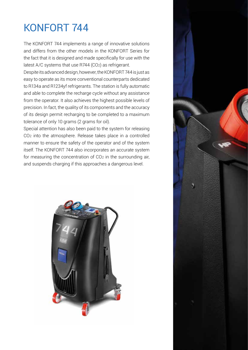## KONFORT 744

The KONFORT 744 implements a range of innovative solutions and differs from the other models in the KONFORT Series for the fact that it is designed and made specifically for use with the latest A/C systems that use R744 (CO2) as refrigerant.

Despite its advanced design, however, the KONFORT 744 is just as easy to operate as its more conventional counterparts dedicated to R134a and R1234yf refrigerants. The station is fully automatic and able to complete the recharge cycle without any assistance from the operator. It also achieves the highest possible levels of precision. In fact, the quality of its components and the accuracy of its design permit recharging to be completed to a maximum tolerance of only 10 grams (2 grams for oil).

Special attention has also been paid to the system for releasing CO2 into the atmosphere. Release takes place in a controlled manner to ensure the safety of the operator and of the system itself. The KONFORT 744 also incorporates an accurate system for measuring the concentration of CO<sub>2</sub> in the surrounding air, and suspends charging if this approaches a dangerous level.



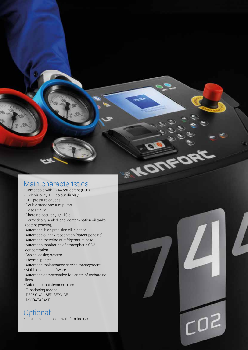#### Main characteristics

- Compatible with R744 refrigerant (CO2)
- High visibility TFT colour display
- CL1 pressure gauges
- Double stage vacuum pump
- Hoses 2.5 m
- Charging accuracy +/- 10 g
- Hermetically sealed, anti-contamination oil tanks (patent pending)

**RC** 

 $\overline{c}$ 

 $\overline{C}$ 

S.

- Automatic, high precision oil injection
- Automatic oil tank recognition (patent pending)
- Automatic metering of refrigerant release
- Automatic monitoring of atmospheric CO2 concentration
- Scales locking system
- Thermal printer
- Automatic maintenance service management
- Multi-language software
- Automatic compensation for length of recharging lines
- Automatic maintenance alarm
- Functioning modes:
- PERSONALISED SERVICE
- MY DATABASE

#### Optional:

• Leakage detection kit with forming gas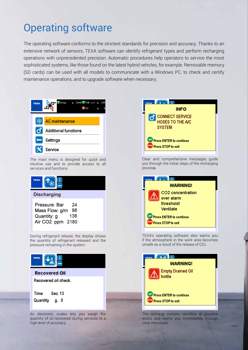## Operating software

The operating software conforms to the strictest standards for precision and accuracy. Thanks to an extensive network of sensors, TEXA software can identify refrigerant types and perform recharging operations with unprecedented precision. Automatic procedures help operators to service the most sophisticated systems, like those found on the latest hybrid vehicles, for example. Removable memory (SD cards) can be used with all models to communicate with a Windows PC, to check and certify maintenance operations, and to upgrade software when necessary.

| TEXA | g. 2440 $\sqrt{P}$ POE oil g. 155<br>R744<br>A UU | 9. |  |
|------|---------------------------------------------------|----|--|
|      | <b>AC</b> maintenance                             |    |  |
|      | <b>Additional functions</b>                       |    |  |
|      | Settings                                          |    |  |
|      | Service                                           |    |  |

The main menu is designed for quick and intuitive use and to provide access to all services and functions.

| <b>TEXA</b>                                                                            |
|----------------------------------------------------------------------------------------|
| <b>Discharging</b>                                                                     |
| Pressure: Bar<br>24<br>98<br>Mass Flow: g/m<br>138<br>Quantity: g<br>Air CO2: ppm 2180 |

During refrigerant release, the display shows the quantity of refrigerant released and the pressure remaining in the system.



An electronic scales lets you weigh the quantity of oil recovered during services to a high level of accuracy.



Clear and comprehensive messages guide you through the initial steps of the recharging process.



TEXA's operating software also warns you if the atmosphere in the work area becomes unsafe as a result of the release of CO2.



The recharge stations identifies all possible errors and warns you immediately through clear messages.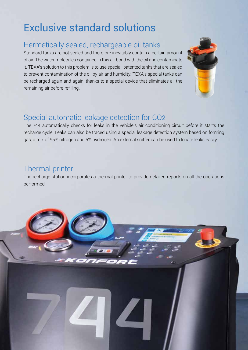## Exclusive standard solutions

#### Hermetically sealed, rechargeable oil tanks

Standard tanks are not sealed and therefore inevitably contain a certain amount of air. The water molecules contained in this air bond with the oil and contaminate it. TEXA's solution to this problem is to use special, patented tanks that are sealed to prevent contamination of the oil by air and humidity. TEXA's special tanks can be recharged again and again, thanks to a special device that eliminates all the remaining air before refilling.



#### Special automatic leakage detection for CO2

The 744 automatically checks for leaks in the vehicle's air conditioning circuit before it starts the recharge cycle. Leaks can also be traced using a special leakage detection system based on forming gas, a mix of 95% nitrogen and 5% hydrogen. An external sniffer can be used to locate leaks easily.

#### Thermal printer

The recharge station incorporates a thermal printer to provide detailed reports on all the operations performed.

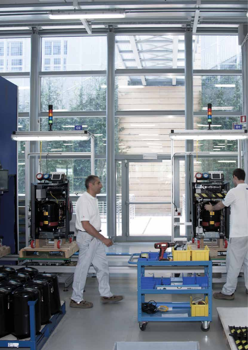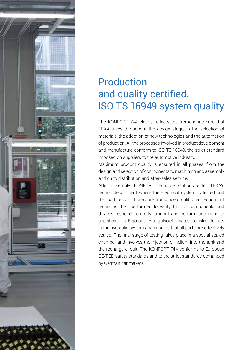

## Production and quality certified. ISO TS 16949 system quality

The KONFORT 744 clearly reflects the tremendous care that TEXA takes throughout the design stage, in the selection of materials, the adoption of new technologies and the automation of production. All the processes involved in product development and manufacture conform to ISO TS 16949, the strict standard imposed on suppliers to the automotive industry.

Maximum product quality is ensured in all phases, from the design and selection of components to machining and assembly and on to distribution and after-sales service.

After assembly, KONFORT recharge stations enter TEXA's testing department where the electrical system is tested and the load cells and pressure transducers calibrated. Functional testing is then performed to verify that all components and devices respond correctly to input and perform according to specifications. Rigorous testing also eliminates the risk of defects in the hydraulic system and ensures that all parts are effectively sealed. The final stage of testing takes place in a special sealed chamber and involves the injection of helium into the tank and the recharge circuit. The KONFORT 744 conforms to European CE/PED safety standards and to the strict standards demanded by German car makers.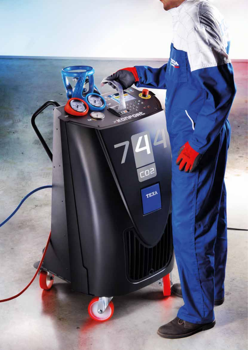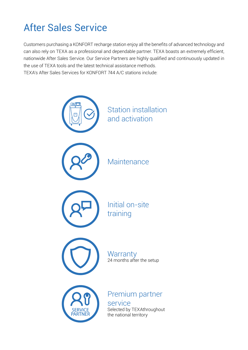## After Sales Service

Customers purchasing a KONFORT recharge station enjoy all the benefits of advanced technology and can also rely on TEXA as a professional and dependable partner. TEXA boasts an extremely efficient, nationwide After Sales Service. Our Service Partners are highly qualified and continuously updated in the use of TEXA tools and the latest technical assistance methods. TEXA's After Sales Services for KONFORT 744 A/C stations include: